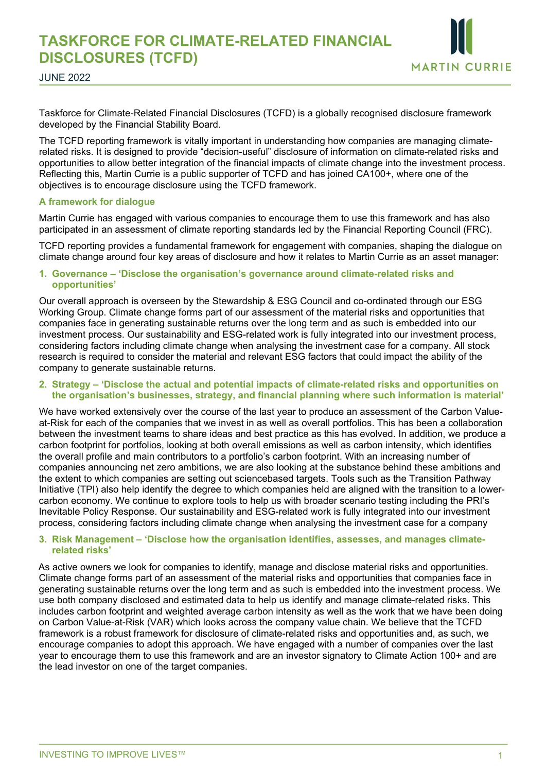

JUNE 2022

Taskforce for Climate-Related Financial Disclosures (TCFD) is a globally recognised disclosure framework developed by the Financial Stability Board.

The TCFD reporting framework is vitally important in understanding how companies are managing climaterelated risks. It is designed to provide "decision-useful" disclosure of information on climate-related risks and opportunities to allow better integration of the financial impacts of climate change into the investment process. Reflecting this, Martin Currie is a public supporter of TCFD and has joined CA100+, where one of the objectives is to encourage disclosure using the TCFD framework.

# **A framework for dialogue**

Martin Currie has engaged with various companies to encourage them to use this framework and has also participated in an assessment of climate reporting standards led by the Financial Reporting Council (FRC).

TCFD reporting provides a fundamental framework for engagement with companies, shaping the dialogue on climate change around four key areas of disclosure and how it relates to Martin Currie as an asset manager:

#### **1. Governance – 'Disclose the organisation's governance around climate-related risks and opportunities'**

Our overall approach is overseen by the Stewardship & ESG Council and co-ordinated through our ESG Working Group. Climate change forms part of our assessment of the material risks and opportunities that companies face in generating sustainable returns over the long term and as such is embedded into our investment process. Our sustainability and ESG-related work is fully integrated into our investment process, considering factors including climate change when analysing the investment case for a company. All stock research is required to consider the material and relevant ESG factors that could impact the ability of the company to generate sustainable returns.

### **2. Strategy – 'Disclose the actual and potential impacts of climate-related risks and opportunities on the organisation's businesses, strategy, and financial planning where such information is material'**

We have worked extensively over the course of the last year to produce an assessment of the Carbon Valueat-Risk for each of the companies that we invest in as well as overall portfolios. This has been a collaboration between the investment teams to share ideas and best practice as this has evolved. In addition, we produce a carbon footprint for portfolios, looking at both overall emissions as well as carbon intensity, which identifies the overall profile and main contributors to a portfolio's carbon footprint. With an increasing number of companies announcing net zero ambitions, we are also looking at the substance behind these ambitions and the extent to which companies are setting out sciencebased targets. Tools such as the Transition Pathway Initiative (TPI) also help identify the degree to which companies held are aligned with the transition to a lowercarbon economy. We continue to explore tools to help us with broader scenario testing including the PRI's Inevitable Policy Response. Our sustainability and ESG-related work is fully integrated into our investment process, considering factors including climate change when analysing the investment case for a company

### **3. Risk Management – 'Disclose how the organisation identifies, assesses, and manages climaterelated risks'**

As active owners we look for companies to identify, manage and disclose material risks and opportunities. Climate change forms part of an assessment of the material risks and opportunities that companies face in generating sustainable returns over the long term and as such is embedded into the investment process. We use both company disclosed and estimated data to help us identify and manage climate-related risks. This includes carbon footprint and weighted average carbon intensity as well as the work that we have been doing on Carbon Value-at-Risk (VAR) which looks across the company value chain. We believe that the TCFD framework is a robust framework for disclosure of climate-related risks and opportunities and, as such, we encourage companies to adopt this approach. We have engaged with a number of companies over the last year to encourage them to use this framework and are an investor signatory to Climate Action 100+ and are the lead investor on one of the target companies.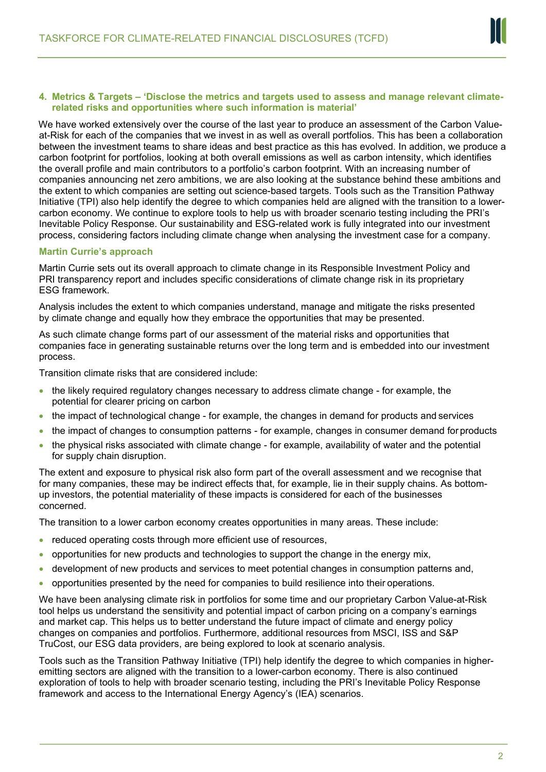

### **4. Metrics & Targets – 'Disclose the metrics and targets used to assess and manage relevant climaterelated risks and opportunities where such information is material'**

We have worked extensively over the course of the last year to produce an assessment of the Carbon Valueat-Risk for each of the companies that we invest in as well as overall portfolios. This has been a collaboration between the investment teams to share ideas and best practice as this has evolved. In addition, we produce a carbon footprint for portfolios, looking at both overall emissions as well as carbon intensity, which identifies the overall profile and main contributors to a portfolio's carbon footprint. With an increasing number of companies announcing net zero ambitions, we are also looking at the substance behind these ambitions and the extent to which companies are setting out science-based targets. Tools such as the Transition Pathway Initiative (TPI) also help identify the degree to which companies held are aligned with the transition to a lowercarbon economy. We continue to explore tools to help us with broader scenario testing including the PRI's Inevitable Policy Response. Our sustainability and ESG-related work is fully integrated into our investment process, considering factors including climate change when analysing the investment case for a company.

# **Martin Currie's approach**

Martin Currie sets out its overall approach to climate change in its Responsible Investment Policy and PRI transparency report and includes specific considerations of climate change risk in its proprietary ESG framework.

Analysis includes the extent to which companies understand, manage and mitigate the risks presented by climate change and equally how they embrace the opportunities that may be presented.

As such climate change forms part of our assessment of the material risks and opportunities that companies face in generating sustainable returns over the long term and is embedded into our investment process.

Transition climate risks that are considered include:

- the likely required regulatory changes necessary to address climate change for example, the potential for clearer pricing on carbon
- the impact of technological change for example, the changes in demand for products and services
- the impact of changes to consumption patterns for example, changes in consumer demand for products
- the physical risks associated with climate change for example, availability of water and the potential for supply chain disruption.

The extent and exposure to physical risk also form part of the overall assessment and we recognise that for many companies, these may be indirect effects that, for example, lie in their supply chains. As bottomup investors, the potential materiality of these impacts is considered for each of the businesses concerned.

The transition to a lower carbon economy creates opportunities in many areas. These include:

- reduced operating costs through more efficient use of resources,
- opportunities for new products and technologies to support the change in the energy mix,
- development of new products and services to meet potential changes in consumption patterns and,
- opportunities presented by the need for companies to build resilience into their operations.

We have been analysing climate risk in portfolios for some time and our proprietary Carbon Value-at-Risk tool helps us understand the sensitivity and potential impact of carbon pricing on a company's earnings and market cap. This helps us to better understand the future impact of climate and energy policy changes on companies and portfolios. Furthermore, additional resources from MSCI, ISS and S&P TruCost, our ESG data providers, are being explored to look at scenario analysis.

Tools such as the Transition Pathway Initiative (TPI) help identify the degree to which companies in higheremitting sectors are aligned with the transition to a lower-carbon economy. There is also continued exploration of tools to help with broader scenario testing, including the PRI's Inevitable Policy Response framework and access to the International Energy Agency's (IEA) scenarios.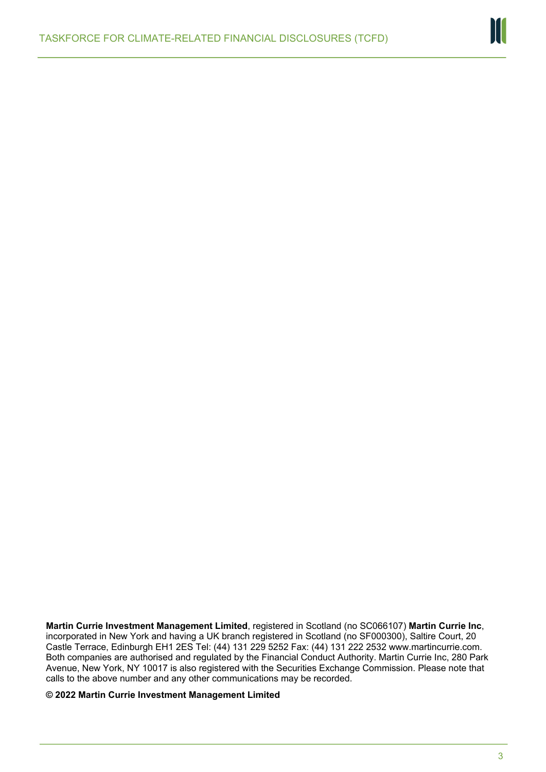

**Martin Currie Investment Management Limited**, registered in Scotland (no SC066107) **Martin Currie Inc**, incorporated in New York and having a UK branch registered in Scotland (no SF000300), Saltire Court, 20 Castle Terrace, Edinburgh EH1 2ES Tel: (44) 131 229 5252 Fax: (44) 131 222 2532 [www.martincurrie.com.](http://www.martincurrie.com/)  Both companies are authorised and regulated by the Financial Conduct Authority. Martin Currie Inc, 280 Park Avenue, New York, NY 10017 is also registered with the Securities Exchange Commission. Please note that calls to the above number and any other communications may be recorded.

**© 2022 Martin Currie Investment Management Limited**